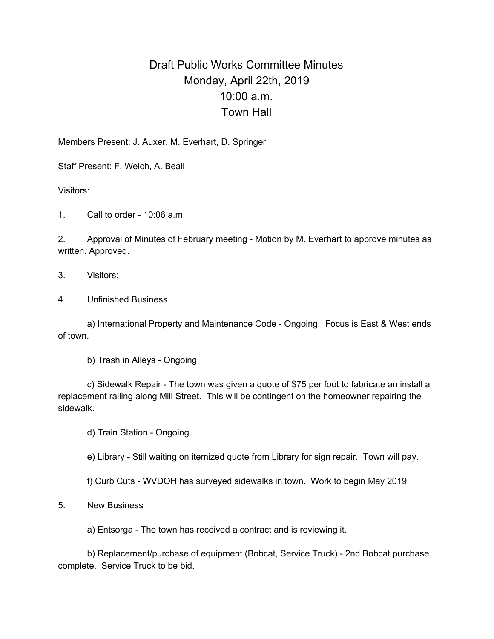## Draft Public Works Committee Minutes Monday, April 22th, 2019 10:00 a.m. Town Hall

Members Present: J. Auxer, M. Everhart, D. Springer

Staff Present: F. Welch, A. Beall

Visitors:

1. Call to order - 10:06 a.m.

2. Approval of Minutes of February meeting - Motion by M. Everhart to approve minutes as written. Approved.

- 3. Visitors:
- 4. Unfinished Business

a) International Property and Maintenance Code - Ongoing. Focus is East & West ends of town.

b) Trash in Alleys - Ongoing

c) Sidewalk Repair - The town was given a quote of \$75 per foot to fabricate an install a replacement railing along Mill Street. This will be contingent on the homeowner repairing the sidewalk.

d) Train Station - Ongoing.

e) Library - Still waiting on itemized quote from Library for sign repair. Town will pay.

f) Curb Cuts - WVDOH has surveyed sidewalks in town. Work to begin May 2019

## 5. New Business

a) Entsorga - The town has received a contract and is reviewing it.

b) Replacement/purchase of equipment (Bobcat, Service Truck) - 2nd Bobcat purchase complete. Service Truck to be bid.